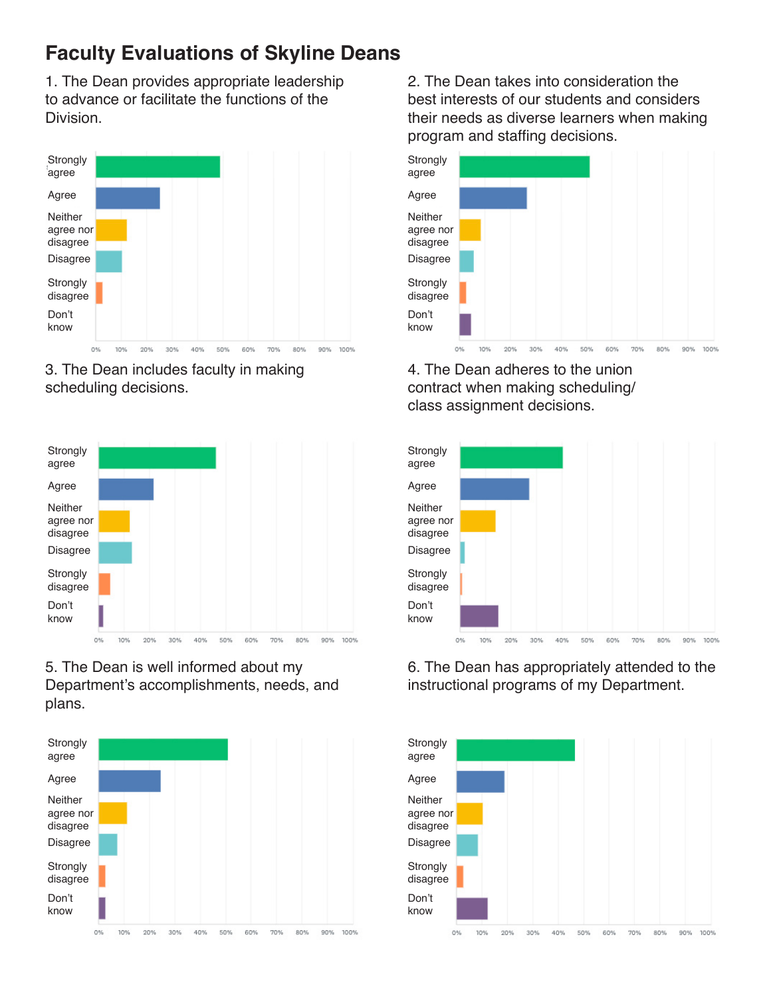1. The Dean provides appropriate leadership to advance or facilitate the functions of the **Division** 



3. The Dean includes faculty in making scheduling decisions.



5. The Dean is well informed about my Department's accomplishments, needs, and plans.



2. The Dean takes into consideration the best interests of our students and considers their needs as diverse learners when making program and staffing decisions.



4. The Dean adheres to the union contract when making scheduling/ class assignment decisions.



6. The Dean has appropriately attended to the instructional programs of my Department.

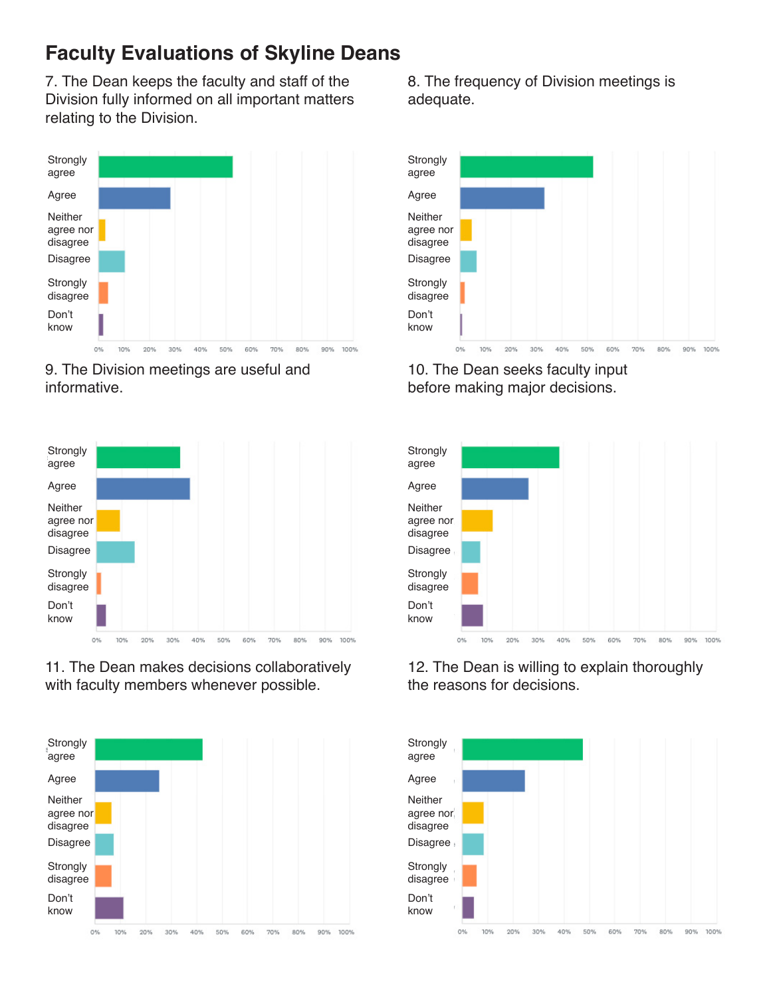7. The Dean keeps the faculty and staff of the Division fully informed on all important matters relating to the Division.



9. The Division meetings are useful and informative.



11. The Dean makes decisions collaboratively with faculty members whenever possible.



8. The frequency of Division meetings is adequate.



10. The Dean seeks faculty input before making major decisions.



12. The Dean is willing to explain thoroughly the reasons for decisions.

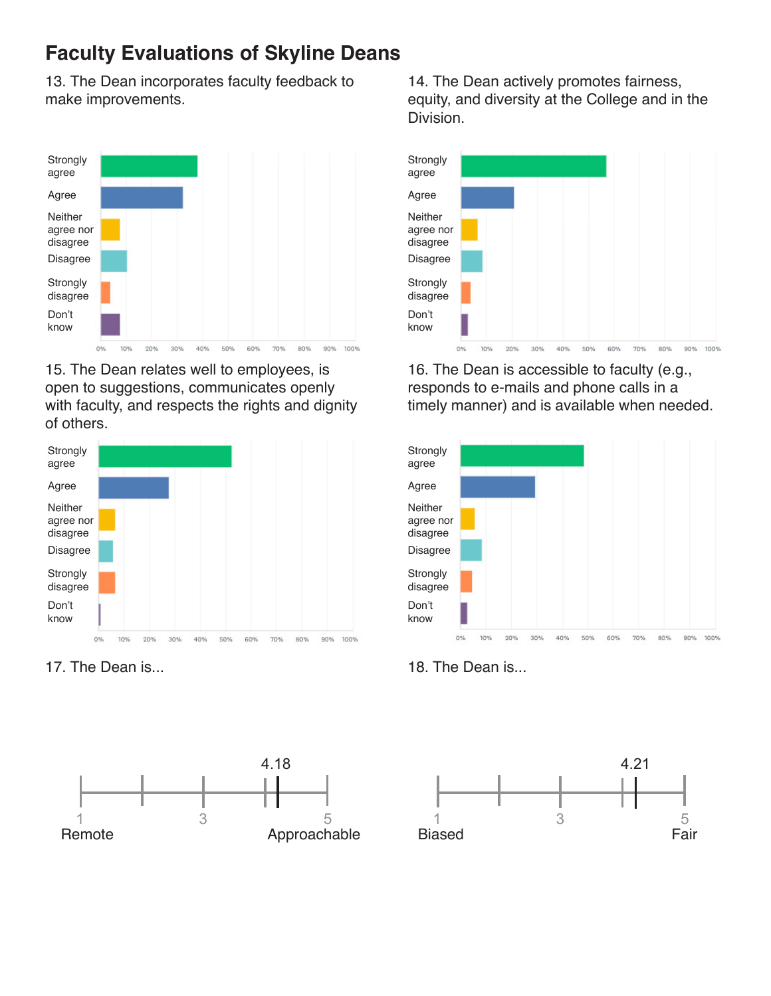13. The Dean incorporates faculty feedback to make improvements.



15. The Dean relates well to employees, is open to suggestions, communicates openly with faculty, and respects the rights and dignity of others.



17. The Dean is... 18. The Dean is...



14. The Dean actively promotes fairness, equity, and diversity at the College and in the Division.



16. The Dean is accessible to faculty (e.g., responds to e-mails and phone calls in a timely manner) and is available when needed.